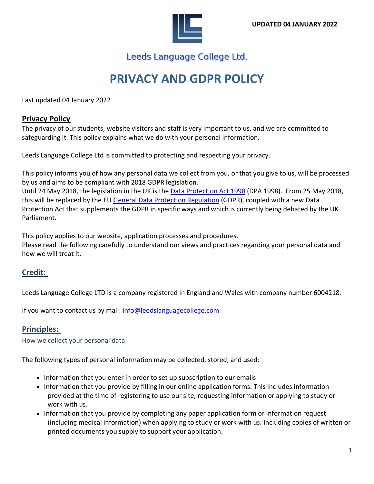

Leeds Language College Ltd.

# **PRIVACY AND GDPR POLICY**

Last updated 04 January 2022

#### **Privacy Policy**

The privacy of our students, website visitors and staff is very important to us, and we are committed to safeguarding it. This policy explains what we do with your personal information.

Leeds Language College Ltd is committed to protecting and respecting your privacy.

This policy informs you of how any personal data we collect from you, or that you give to us, will be processed by us and aims to be compliant with 2018 GDPR legislation.

Until 24 May 2018, the legislation in the UK is the Data [Protection](http://www.legislation.gov.uk/ukpga/1998/29/contents) Act 1998 (DPA 1998). From 25 May 2018, this will be replaced by the EU General Data Protection [Regulation](https://www.information-compliance.admin.cam.ac.uk/data-protection/general-data-protection-regulation) (GDPR), coupled with a new Data Protection Act that supplements the GDPR in specific ways and which is currently being debated by the UK Parliament.

This policy applies to our website, application processes and procedures. Please read the following carefully to understand our views and practices regarding your personal data and how we will treat it.

#### **Credit:**

Leeds Language College LTD is a company registered in England and Wales with company number 6004218.

If you want to contact us by mail: [info@leedslanguagecollege.com](mailto:info@leedslanguagecollege.com)

#### **Principles:**

How we collect your personal data:

The following types of personal information may be collected, stored, and used:

- Information that you enter in order to set up subscription to our emails
- Information that you provide by filling in our online application forms. This includes information provided at the time of registering to use our site, requesting information or applying to study or work with us.
- Information that you provide by completing any paper application form or information request (including medical information) when applying to study or work with us. Including copies of written or printed documents you supply to support your application.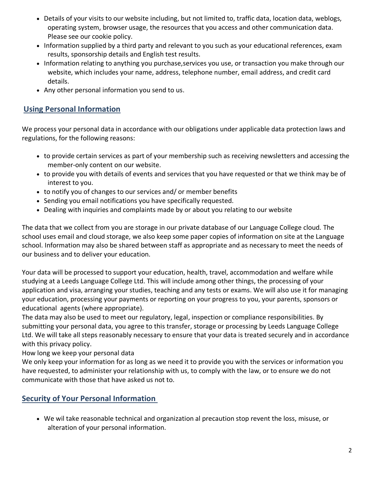- Details of your visits to our website including, but not limited to, traffic data, location data, weblogs, operating system, browser usage, the resources that you access and other communication data. Please see our cookie policy.
- Information supplied by a third party and relevant to you such as your educational references, exam results, sponsorship details and English test results.
- Information relating to anything you purchase,services you use, or transaction you make through our website, which includes your name, address, telephone number, email address, and credit card details.
- Any other personal information you send to us.

## **Using Personal Information**

We process your personal data in accordance with our obligations under applicable data protection laws and regulations, for the following reasons:

- to provide certain services as part of your membership such as receiving newsletters and accessing the member-only content on our website.
- to provide you with details of events and services that you have requested or that we think may be of interest to you.
- to notify you of changes to our services and/ or member benefits
- Sending you email notifications you have specifically requested.
- Dealing with inquiries and complaints made by or about you relating to our website

The data that we collect from you are storage in our private database of our Language College cloud. The school uses email and cloud storage, we also keep some paper copies of information on site at the Language school. Information may also be shared between staff as appropriate and as necessary to meet the needs of our business and to deliver your education.

Your data will be processed to support your education, health, travel, accommodation and welfare while studying at a Leeds Language College Ltd. This will include among other things, the processing of your application and visa, arranging your studies, teaching and any tests or exams. We will also use it for managing your education, processing your payments or reporting on your progress to you, your parents, sponsors or educational agents (where appropriate).

The data may also be used to meet our regulatory, legal, inspection or compliance responsibilities. By submitting your personal data, you agree to this transfer, storage or processing by Leeds Language College Ltd. We will take all steps reasonably necessary to ensure that your data is treated securely and in accordance with this privacy policy.

How long we keep your personal data

We only keep your information for as long as we need it to provide you with the services or information you have requested, to administer your relationship with us, to comply with the law, or to ensure we do not communicate with those that have asked us not to.

# **Security of Your Personal Information**

• We wil take reasonable technical and organization al precaution stop revent the loss, misuse, or alteration of your personal information.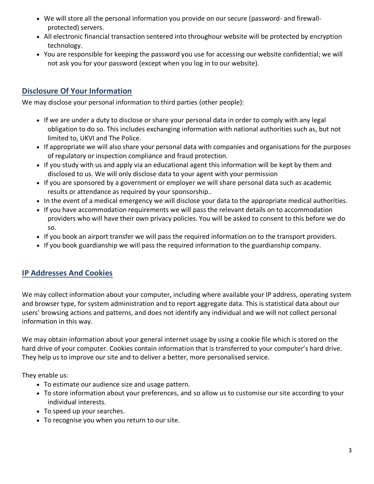- We will store all the personal information you provide on our secure (password- and firewallprotected) servers.
- All electronic financial transaction sentered into throughour website will be protected by encryption technology.
- You are responsible for keeping the password you use for accessing our website confidential; we will not ask you for your password (except when you log in to our website).

# **Disclosure Of Your Information**

We may disclose your personal information to third parties (other people):

- If we are under a duty to disclose or share your personal data in order to comply with any legal obligation to do so. This includes exchanging information with national authorities such as, but not limited to, UKVI and The Police.
- If appropriate we will also share your personal data with companies and organisations for the purposes of regulatory or inspection compliance and fraud protection.
- If you study with us and apply via an educational agent this information will be kept by them and disclosed to us. We will only disclose data to your agent with your permission
- If you are sponsored by a government or employer we will share personal data such as academic results or attendance as required by your sponsorship..
- In the event of a medical emergency we will disclose your data to the appropriate medical authorities.
- If you have accommodation requirements we will pass the relevant details on to accommodation providers who will have their own privacy policies. You will be asked to consent to this before we do so.
- If you book an airport transfer we will pass the required information on to the transport providers.
- If you book guardianship we will pass the required information to the guardianship company.

# **IP Addresses And Cookies**

We may collect information about your computer, including where available your IP address, operating system and browser type, for system administration and to report aggregate data. This is statistical data about our users' browsing actions and patterns, and does not identify any individual and we will not collect personal information in this way.

We may obtain information about your general internet usage by using a cookie file which is stored on the hard drive of your computer. Cookies contain information that is transferred to your computer's hard drive. They help us to improve our site and to deliver a better, more personalised service.

They enable us:

- To estimate our audience size and usage pattern.
- To store information about your preferences, and so allow us to customise our site according to your individual interests.
- To speed up your searches.
- To recognise you when you return to our site.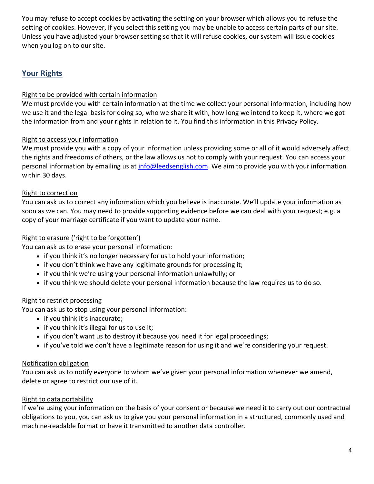You may refuse to accept cookies by activating the setting on your browser which allows you to refuse the setting of cookies. However, if you select this setting you may be unable to access certain parts of our site. Unless you have adjusted your browser setting so that it will refuse cookies, our system will issue cookies when you log on to our site.

# **Your Rights**

#### Right to be provided with certain information

We must provide you with certain information at the time we collect your personal information, including how we use it and the legal basis for doing so, who we share it with, how long we intend to keep it, where we got the information from and your rights in relation to it. You find this information in this Privacy Policy.

#### Right to access your information

We must provide you with a copy of your information unless providing some or all of it would adversely affect the rights and freedoms of others, or the law allows us not to comply with your request. You can access your personal information by emailing us at *info@leedsenglish.com*. We aim to provide you with your information within 30 days.

#### Right to correction

You can ask us to correct any information which you believe is inaccurate. We'll update your information as soon as we can. You may need to provide supporting evidence before we can deal with your request; e.g. a copy of your marriage certificate if you want to update your name.

#### Right to erasure ('right to be forgotten')

You can ask us to erase your personal information:

- if you think it's no longer necessary for us to hold your information;
- if you don't think we have any legitimate grounds for processing it;
- if you think we're using your personal information unlawfully; or
- if you think we should delete your personal information because the law requires us to do so.

#### Right to restrict processing

You can ask us to stop using your personal information:

- if you think it's inaccurate;
- if you think it's illegal for us to use it;
- if you don't want us to destroy it because you need it for legal proceedings;
- if you've told we don't have a legitimate reason for using it and we're considering your request.

#### Notification obligation

You can ask us to notify everyone to whom we've given your personal information whenever we amend, delete or agree to restrict our use of it.

#### Right to data portability

If we're using your information on the basis of your consent or because we need it to carry out our contractual obligations to you, you can ask us to give you your personal information in a structured, commonly used and machine-readable format or have it transmitted to another data controller.